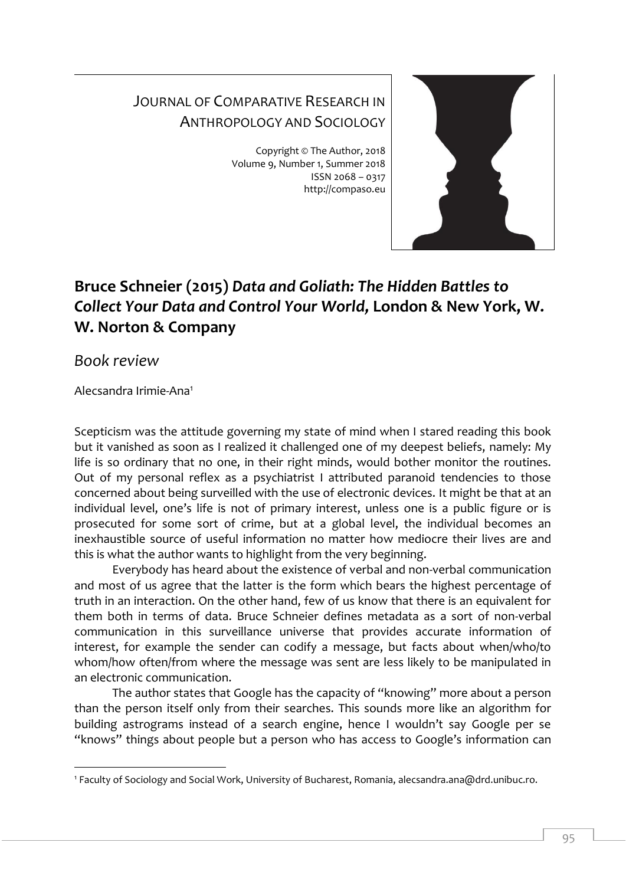## JOURNAL OF COMPARATIVE RESEARCH IN ANTHROPOLOGY AND SOCIOLOGY

Copyright © The Author, 2018 Volume 9, Number 1, Summer 2018 ISSN 2068 – 0317 http://compaso.eu



## **Bruce Schneier (2015)** *Data and Goliath: The Hidden Battles to Collect Your Data and Control Your World,* **London & New York, W. W. Norton & Company**

*Book review*

Alecsandra Irimie-Ana<sup>1</sup>

Scepticism was the attitude governing my state of mind when I stared reading this book but it vanished as soon as I realized it challenged one of my deepest beliefs, namely: My life is so ordinary that no one, in their right minds, would bother monitor the routines. Out of my personal reflex as a psychiatrist I attributed paranoid tendencies to those concerned about being surveilled with the use of electronic devices. It might be that at an individual level, one's life is not of primary interest, unless one is a public figure or is prosecuted for some sort of crime, but at a global level, the individual becomes an inexhaustible source of useful information no matter how mediocre their lives are and this is what the author wants to highlight from the very beginning.

Everybody has heard about the existence of verbal and non-verbal communication and most of us agree that the latter is the form which bears the highest percentage of truth in an interaction. On the other hand, few of us know that there is an equivalent for them both in terms of data. Bruce Schneier defines metadata as a sort of non-verbal communication in this surveillance universe that provides accurate information of interest, for example the sender can codify a message, but facts about when/who/to whom/how often/from where the message was sent are less likely to be manipulated in an electronic communication.

The author states that Google has the capacity of "knowing" more about a person than the person itself only from their searches. This sounds more like an algorithm for building astrograms instead of a search engine, hence I wouldn't say Google per se "knows" things about people but a person who has access to Google's information can

<sup>-</sup><sup>1</sup> Faculty of Sociology and Social Work, University of Bucharest, Romania, alecsandra.ana@drd.unibuc.ro.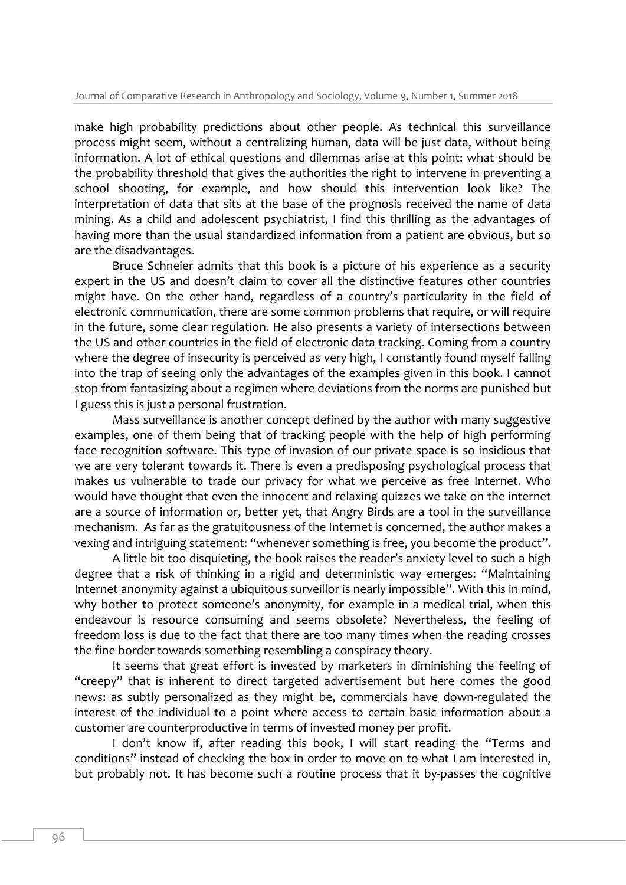make high probability predictions about other people. As technical this surveillance process might seem, without a centralizing human, data will be just data, without being information. A lot of ethical questions and dilemmas arise at this point: what should be the probability threshold that gives the authorities the right to intervene in preventing a school shooting, for example, and how should this intervention look like? The interpretation of data that sits at the base of the prognosis received the name of data mining. As a child and adolescent psychiatrist, I find this thrilling as the advantages of having more than the usual standardized information from a patient are obvious, but so are the disadvantages.

Bruce Schneier admits that this book is a picture of his experience as a security expert in the US and doesn't claim to cover all the distinctive features other countries might have. On the other hand, regardless of a country's particularity in the field of electronic communication, there are some common problems that require, or will require in the future, some clear regulation. He also presents a variety of intersections between the US and other countries in the field of electronic data tracking. Coming from a country where the degree of insecurity is perceived as very high, I constantly found myself falling into the trap of seeing only the advantages of the examples given in this book. I cannot stop from fantasizing about a regimen where deviations from the norms are punished but I guess this is just a personal frustration.

Mass surveillance is another concept defined by the author with many suggestive examples, one of them being that of tracking people with the help of high performing face recognition software. This type of invasion of our private space is so insidious that we are very tolerant towards it. There is even a predisposing psychological process that makes us vulnerable to trade our privacy for what we perceive as free Internet. Who would have thought that even the innocent and relaxing quizzes we take on the internet are a source of information or, better yet, that Angry Birds are a tool in the surveillance mechanism. As far as the gratuitousness of the Internet is concerned, the author makes a vexing and intriguing statement: "whenever something is free, you become the product".

A little bit too disquieting, the book raises the reader's anxiety level to such a high degree that a risk of thinking in a rigid and deterministic way emerges: "Maintaining Internet anonymity against a ubiquitous surveillor is nearly impossible". With this in mind, why bother to protect someone's anonymity, for example in a medical trial, when this endeavour is resource consuming and seems obsolete? Nevertheless, the feeling of freedom loss is due to the fact that there are too many times when the reading crosses the fine border towards something resembling a conspiracy theory.

It seems that great effort is invested by marketers in diminishing the feeling of "creepy" that is inherent to direct targeted advertisement but here comes the good news: as subtly personalized as they might be, commercials have down-regulated the interest of the individual to a point where access to certain basic information about a customer are counterproductive in terms of invested money per profit.

I don't know if, after reading this book, I will start reading the "Terms and conditions" instead of checking the box in order to move on to what I am interested in, but probably not. It has become such a routine process that it by-passes the cognitive